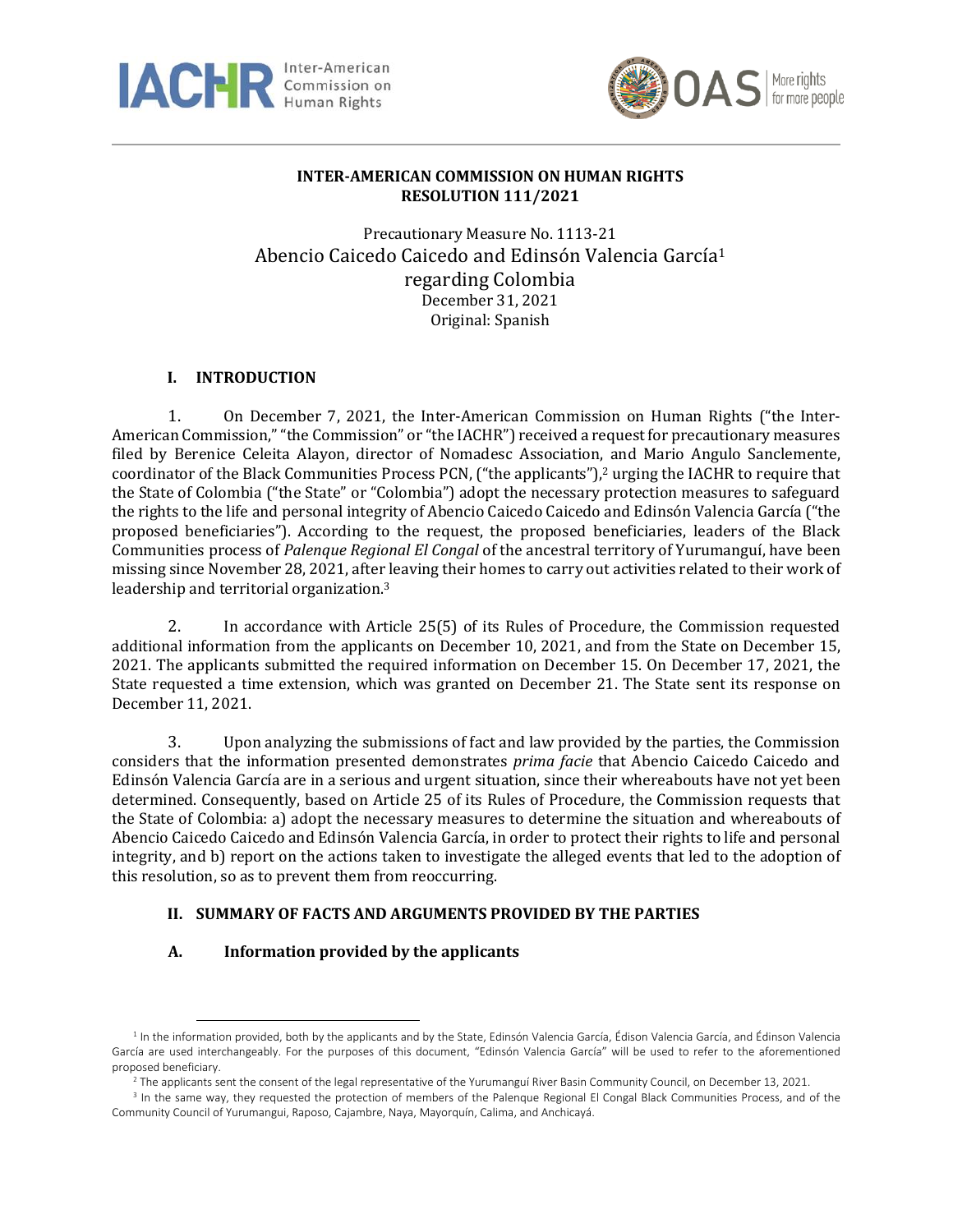



# **INTER-AMERICAN COMMISSION ON HUMAN RIGHTS RESOLUTION 111/2021**

Precautionary Measure No. 1113-21 Abencio Caicedo Caicedo and Edinsón Valencia García<sup>1</sup> regarding Colombia December 31, 2021 Original: Spanish

## **I. INTRODUCTION**

1. On December 7, 2021, the Inter-American Commission on Human Rights ("the Inter-American Commission,""the Commission" or "the IACHR") received a request for precautionary measures filed by Berenice Celeita Alayon, director of Nomadesc Association, and Mario Angulo Sanclemente, coordinator of the Black Communities Process PCN, ("the applicants"), $\frac{2}{3}$  urging the IACHR to require that the State of Colombia ("the State" or "Colombia") adopt the necessary protection measures to safeguard the rights to the life and personal integrity of Abencio Caicedo Caicedo and Edinsón Valencia García ("the proposed beneficiaries"). According to the request, the proposed beneficiaries, leaders of the Black Communities process of *Palenque Regional El Congal* of the ancestral territory of Yurumanguí, have been missing since November 28, 2021, after leaving their homes to carry out activities related to their work of leadership and territorial organization.<sup>3</sup>

2. In accordance with Article 25(5) of its Rules of Procedure, the Commission requested additional information from the applicants on December 10, 2021, and from the State on December 15, 2021. The applicants submitted the required information on December 15. On December 17, 2021, the State requested a time extension, which was granted on December 21. The State sent its response on December 11, 2021.

3. Upon analyzing the submissions of fact and law provided by the parties, the Commission considers that the information presented demonstrates *prima facie* that Abencio Caicedo Caicedo and Edinsón Valencia García are in a serious and urgent situation, since their whereabouts have not yet been determined. Consequently, based on Article 25 of its Rules of Procedure, the Commission requests that the State of Colombia: a) adopt the necessary measures to determine the situation and whereabouts of Abencio Caicedo Caicedo and Edinsón Valencia García, in order to protect their rights to life and personal integrity, and b) report on the actions taken to investigate the alleged events that led to the adoption of this resolution, so as to prevent them from reoccurring.

## **II. SUMMARY OF FACTS AND ARGUMENTS PROVIDED BY THE PARTIES**

## **A. Information provided by the applicants**

<sup>&</sup>lt;sup>1</sup> In the information provided, both by the applicants and by the State, Edinsón Valencia García, Édison Valencía García, and Édinson Valencia García are used interchangeably. For the purposes of this document, "Edinsón Valencia García" will be used to refer to the aforementioned proposed beneficiary.

<sup>&</sup>lt;sup>2</sup> The applicants sent the consent of the legal representative of the Yurumanguí River Basin Community Council, on December 13, 2021.

<sup>&</sup>lt;sup>3</sup> In the same way, they requested the protection of members of the Palenque Regional El Congal Black Communities Process, and of the Community Council of Yurumangui, Raposo, Cajambre, Naya, Mayorquín, Calima, and Anchicayá.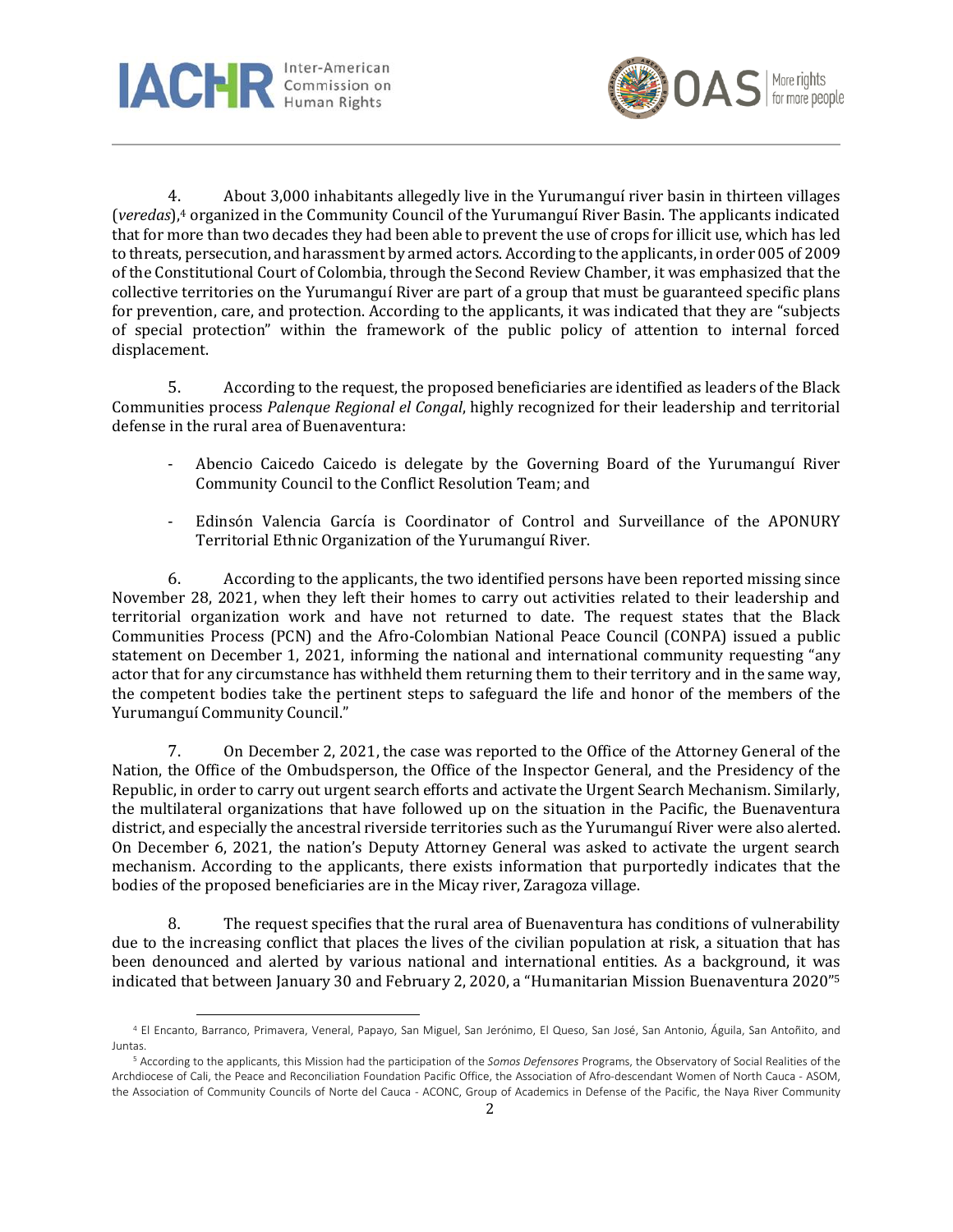



4. About 3,000 inhabitants allegedly live in the Yurumanguí river basin in thirteen villages (*veredas*), <sup>4</sup> organized in the Community Council of the Yurumanguí River Basin. The applicants indicated that for more than two decades they had been able to prevent the use of crops for illicit use, which has led to threats, persecution, and harassment by armed actors. According to the applicants, in order 005 of 2009 of the Constitutional Court of Colombia, through the Second Review Chamber, it was emphasized that the collective territories on the Yurumanguí River are part of a group that must be guaranteed specific plans for prevention, care, and protection. According to the applicants, it was indicated that they are "subjects of special protection" within the framework of the public policy of attention to internal forced displacement.

5. According to the request, the proposed beneficiaries are identified as leaders of the Black Communities process *Palenque Regional el Congal*, highly recognized for their leadership and territorial defense in the rural area of Buenaventura:

- Abencio Caicedo Caicedo is delegate by the Governing Board of the Yurumanguí River Community Council to the Conflict Resolution Team; and
- Edinsón Valencia García is Coordinator of Control and Surveillance of the APONURY Territorial Ethnic Organization of the Yurumanguí River.

6. According to the applicants, the two identified persons have been reported missing since November 28, 2021, when they left their homes to carry out activities related to their leadership and territorial organization work and have not returned to date. The request states that the Black Communities Process (PCN) and the Afro-Colombian National Peace Council (CONPA) issued a public statement on December 1, 2021, informing the national and international community requesting "any actor that for any circumstance has withheld them returning them to their territory and in the same way, the competent bodies take the pertinent steps to safeguard the life and honor of the members of the Yurumanguí Community Council."

7. On December 2, 2021, the case was reported to the Office of the Attorney General of the Nation, the Office of the Ombudsperson, the Office of the Inspector General, and the Presidency of the Republic, in order to carry out urgent search efforts and activate the Urgent Search Mechanism. Similarly, the multilateral organizations that have followed up on the situation in the Pacific, the Buenaventura district, and especially the ancestral riverside territories such as the Yurumanguí River were also alerted. On December 6, 2021, the nation's Deputy Attorney General was asked to activate the urgent search mechanism. According to the applicants, there exists information that purportedly indicates that the bodies of the proposed beneficiaries are in the Micay river, Zaragoza village.

8. The request specifies that the rural area of Buenaventura has conditions of vulnerability due to the increasing conflict that places the lives of the civilian population at risk, a situation that has been denounced and alerted by various national and international entities. As a background, it was indicated that between January 30 and February 2, 2020, a "Humanitarian Mission Buenaventura 2020" 5

<sup>4</sup> El Encanto, Barranco, Primavera, Veneral, Papayo, San Miguel, San Jerónimo, El Queso, San José, San Antonio, Águila, San Antoñito, and Juntas.

<sup>5</sup> According to the applicants, this Mission had the participation of the *Somos Defensores* Programs, the Observatory of Social Realities of the Archdiocese of Cali, the Peace and Reconciliation Foundation Pacific Office, the Association of Afro-descendant Women of North Cauca - ASOM, the Association of Community Councils of Norte del Cauca - ACONC, Group of Academics in Defense of the Pacific, the Naya River Community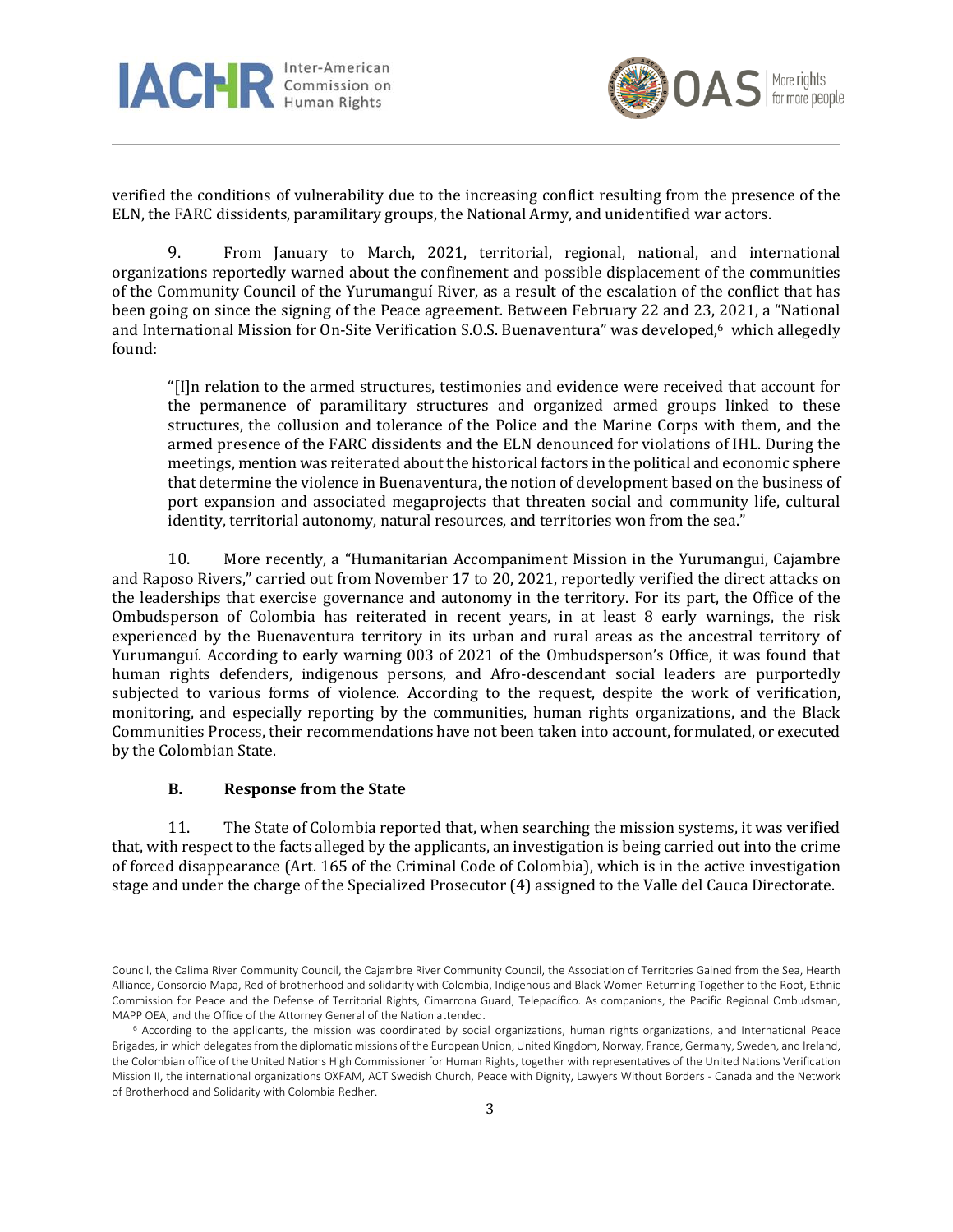



verified the conditions of vulnerability due to the increasing conflict resulting from the presence of the ELN, the FARC dissidents, paramilitary groups, the National Army, and unidentified war actors.

9. From January to March, 2021, territorial, regional, national, and international organizations reportedly warned about the confinement and possible displacement of the communities of the Community Council of the Yurumanguí River, as a result of the escalation of the conflict that has been going on since the signing of the Peace agreement. Between February 22 and 23, 2021, a "National and International Mission for On-Site Verification S.O.S. Buenaventura" was developed, <sup>6</sup> which allegedly found:

"[I]n relation to the armed structures, testimonies and evidence were received that account for the permanence of paramilitary structures and organized armed groups linked to these structures, the collusion and tolerance of the Police and the Marine Corps with them, and the armed presence of the FARC dissidents and the ELN denounced for violations of IHL. During the meetings, mention was reiterated about the historical factors in the political and economic sphere that determine the violence in Buenaventura, the notion of development based on the business of port expansion and associated megaprojects that threaten social and community life, cultural identity, territorial autonomy, natural resources, and territories won from the sea."

10. More recently, a "Humanitarian Accompaniment Mission in the Yurumangui, Cajambre and Raposo Rivers," carried out from November 17 to 20, 2021, reportedly verified the direct attacks on the leaderships that exercise governance and autonomy in the territory. For its part, the Office of the Ombudsperson of Colombia has reiterated in recent years, in at least 8 early warnings, the risk experienced by the Buenaventura territory in its urban and rural areas as the ancestral territory of Yurumanguí. According to early warning 003 of 2021 of the Ombudsperson's Office, it was found that human rights defenders, indigenous persons, and Afro-descendant social leaders are purportedly subjected to various forms of violence. According to the request, despite the work of verification, monitoring, and especially reporting by the communities, human rights organizations, and the Black Communities Process, their recommendations have not been taken into account, formulated, or executed by the Colombian State.

#### **B. Response from the State**

11. The State of Colombia reported that, when searching the mission systems, it was verified that, with respect to the facts alleged by the applicants, an investigation is being carried out into the crime of forced disappearance (Art. 165 of the Criminal Code of Colombia), which is in the active investigation stage and under the charge of the Specialized Prosecutor (4) assigned to the Valle del Cauca Directorate.

Council, the Calima River Community Council, the Cajambre River Community Council, the Association of Territories Gained from the Sea, Hearth Alliance, Consorcio Mapa, Red of brotherhood and solidarity with Colombia, Indigenous and Black Women Returning Together to the Root, Ethnic Commission for Peace and the Defense of Territorial Rights, Cimarrona Guard, Telepacífico. As companions, the Pacific Regional Ombudsman, MAPP OEA, and the Office of the Attorney General of the Nation attended.

<sup>&</sup>lt;sup>6</sup> According to the applicants, the mission was coordinated by social organizations, human rights organizations, and International Peace Brigades, inwhich delegatesfrom the diplomatic missions of the European Union, United Kingdom, Norway, France, Germany, Sweden, and Ireland, the Colombian office of the United Nations High Commissioner for Human Rights, together with representatives of the United Nations Verification Mission II, the international organizations OXFAM, ACT Swedish Church, Peace with Dignity, Lawyers Without Borders - Canada and the Network of Brotherhood and Solidarity with Colombia Redher.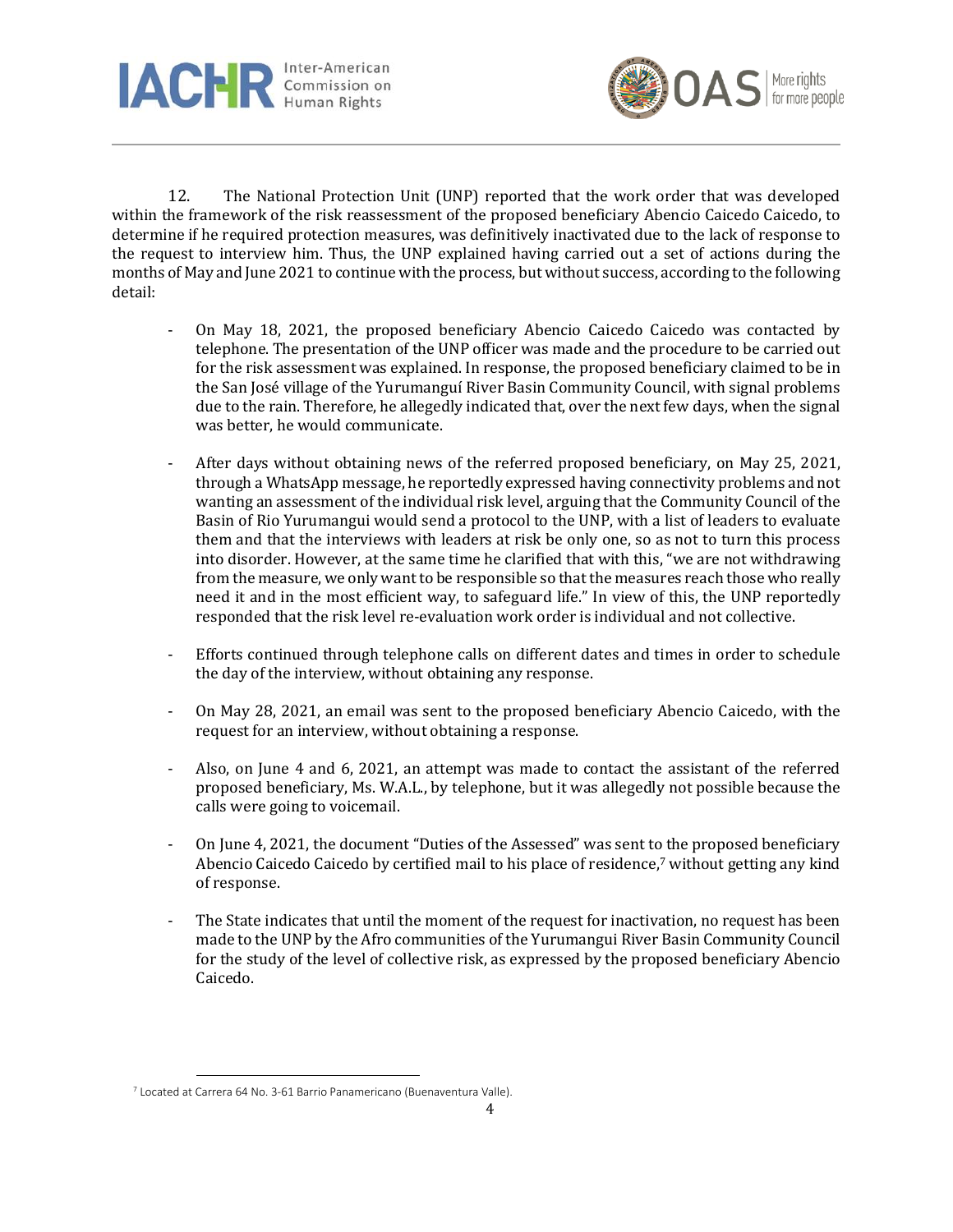



12. The National Protection Unit (UNP) reported that the work order that was developed within the framework of the risk reassessment of the proposed beneficiary Abencio Caicedo Caicedo, to determine if he required protection measures, was definitively inactivated due to the lack of response to the request to interview him. Thus, the UNP explained having carried out a set of actions during the months of May and June 2021 to continue with the process, but without success, according to the following detail:

- On May 18, 2021, the proposed beneficiary Abencio Caicedo Caicedo was contacted by telephone. The presentation of the UNP officer was made and the procedure to be carried out for the risk assessment was explained. In response, the proposed beneficiary claimed to be in the San José village of the Yurumanguí River Basin Community Council, with signal problems due to the rain. Therefore, he allegedly indicated that, over the next few days, when the signal was better, he would communicate.
- After days without obtaining news of the referred proposed beneficiary, on May 25, 2021, through a WhatsApp message, he reportedly expressed having connectivity problems and not wanting an assessment of the individual risk level, arguing that the Community Council of the Basin of Rio Yurumangui would send a protocol to the UNP, with a list of leaders to evaluate them and that the interviews with leaders at risk be only one, so as not to turn this process into disorder. However, at the same time he clarified that with this, "we are not withdrawing from the measure, we only want to be responsible so that the measures reach those who really need it and in the most efficient way, to safeguard life." In view of this, the UNP reportedly responded that the risk level re-evaluation work order is individual and not collective.
- Efforts continued through telephone calls on different dates and times in order to schedule the day of the interview, without obtaining any response.
- On May 28, 2021, an email was sent to the proposed beneficiary Abencio Caicedo, with the request for an interview, without obtaining a response.
- Also, on June 4 and 6, 2021, an attempt was made to contact the assistant of the referred proposed beneficiary, Ms. W.A.L., by telephone, but it was allegedly not possible because the calls were going to voicemail.
- On June 4, 2021, the document "Duties of the Assessed" was sent to the proposed beneficiary Abencio Caicedo Caicedo by certified mail to his place of residence, <sup>7</sup> without getting any kind of response.
- The State indicates that until the moment of the request for inactivation, no request has been made to the UNP by the Afro communities of the Yurumangui River Basin Community Council for the study of the level of collective risk, as expressed by the proposed beneficiary Abencio Caicedo.

<sup>7</sup> Located at Carrera 64 No. 3-61 Barrio Panamericano (Buenaventura Valle).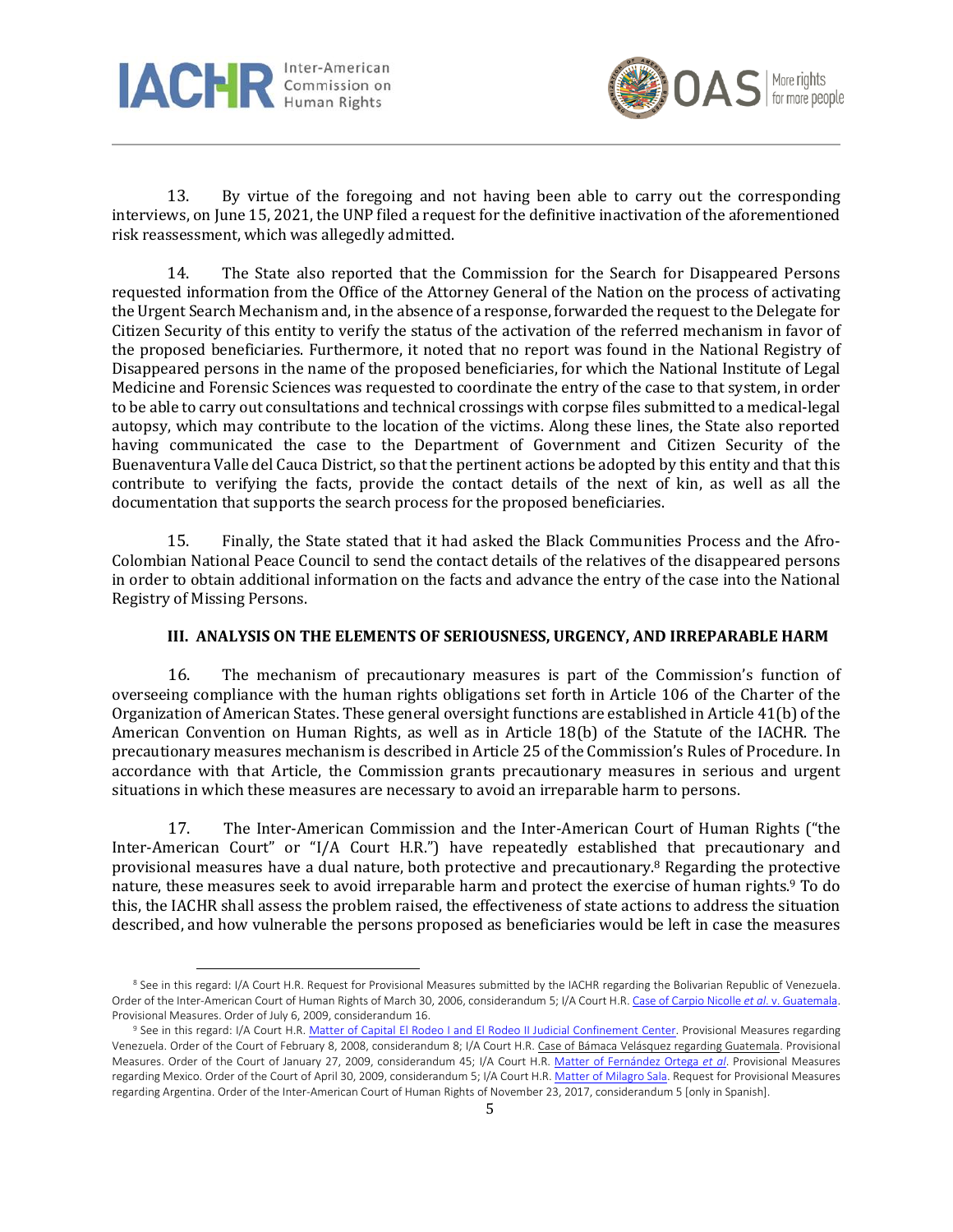



13. By virtue of the foregoing and not having been able to carry out the corresponding interviews, on June 15, 2021, the UNP filed a request for the definitive inactivation of the aforementioned risk reassessment, which was allegedly admitted.

14. The State also reported that the Commission for the Search for Disappeared Persons requested information from the Office of the Attorney General of the Nation on the process of activating the Urgent Search Mechanism and, in the absence of a response, forwarded the request to the Delegate for Citizen Security of this entity to verify the status of the activation of the referred mechanism in favor of the proposed beneficiaries. Furthermore, it noted that no report was found in the National Registry of Disappeared persons in the name of the proposed beneficiaries, for which the National Institute of Legal Medicine and Forensic Sciences was requested to coordinate the entry of the case to that system, in order to be able to carry out consultations and technical crossings with corpse files submitted to a medical-legal autopsy, which may contribute to the location of the victims. Along these lines, the State also reported having communicated the case to the Department of Government and Citizen Security of the Buenaventura Valle del Cauca District, so that the pertinent actions be adopted by this entity and that this contribute to verifying the facts, provide the contact details of the next of kin, as well as all the documentation that supports the search process for the proposed beneficiaries.

15. Finally, the State stated that it had asked the Black Communities Process and the Afro-Colombian National Peace Council to send the contact details of the relatives of the disappeared persons in order to obtain additional information on the facts and advance the entry of the case into the National Registry of Missing Persons.

#### **III. ANALYSIS ON THE ELEMENTS OF SERIOUSNESS, URGENCY, AND IRREPARABLE HARM**

16. The mechanism of precautionary measures is part of the Commission's function of overseeing compliance with the human rights obligations set forth in Article 106 of the Charter of the Organization of American States. These general oversight functions are established in Article 41(b) of the American Convention on Human Rights, as well as in Article 18(b) of the Statute of the IACHR. The precautionary measures mechanism is described in Article 25 of the Commission's Rules of Procedure. In accordance with that Article, the Commission grants precautionary measures in serious and urgent situations in which these measures are necessary to avoid an irreparable harm to persons.

17. The Inter-American Commission and the Inter-American Court of Human Rights ("the Inter-American Court" or "I/A Court H.R.") have repeatedly established that precautionary and provisional measures have a dual nature, both protective and precautionary.<sup>8</sup> Regarding the protective nature, these measures seek to avoid irreparable harm and protect the exercise of human rights.<sup>9</sup> To do this, the IACHR shall assess the problem raised, the effectiveness of state actions to address the situation described, and how vulnerable the persons proposed as beneficiaries would be left in case the measures

<sup>&</sup>lt;sup>8</sup> See in this regard: I/A Court H.R. Request for Provisional Measures submitted by the IACHR regarding the Bolivarian Republic of Venezuela. Order of the Inter-American Court of Human Rights of March 30, 2006, considerandum 5; I/A Court H.R. Case of Carpio Nicolle *et al*. v. [Guatemala.](https://www.corteidh.or.cr/docs/medidas/carpio_se_14.pdf) Provisional Measures. Order of July 6, 2009, considerandum 16.

<sup>9</sup> See in this regard: I/A Court H.R. Matter of Capital El Rodeo I and El Rodeo II Judicial [Confinement](https://www.corteidh.or.cr/docs/medidas/rodeo_se_01.pdf) Center. Provisional Measures regarding Venezuela. Order of the Court of February 8, 2008, considerandum 8; I/A Court H.R. Case of Bámaca Velásquez regarding [Guatemala.](https://www.corteidh.or.cr/docs/medidas/bamaca_se_10.pdf) Provisional Measures. Order of the Court of January 27, 2009, considerandum 45; I/A Court H.R. Matter of [Fernández](https://www.corteidh.or.cr/docs/medidas/fernandez_se_02.pdf) Ortega *et al*. Provisional Measures regarding Mexico. Order of the Court of April 30, 2009, considerandum 5; I/A Court H.R. Matter of [Milagro](https://www.corteidh.or.cr/docs/medidas/sala_se_01.pdf) Sala. Request for Provisional Measures regarding Argentina. Order of the Inter-American Court of Human Rights of November 23, 2017, considerandum 5 [only in Spanish].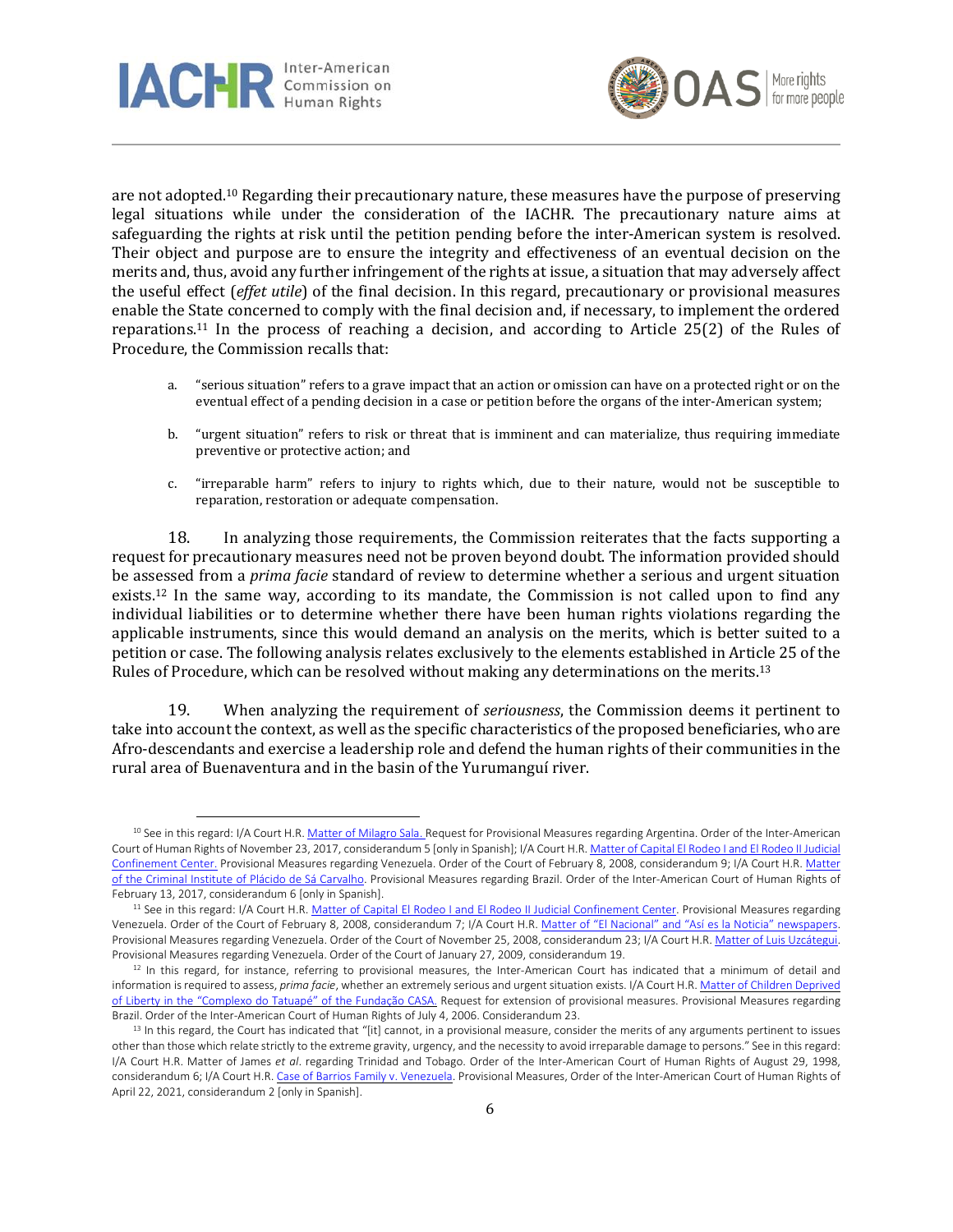



are not adopted.<sup>10</sup> Regarding their precautionary nature, these measures have the purpose of preserving legal situations while under the consideration of the IACHR. The precautionary nature aims at safeguarding the rights at risk until the petition pending before the inter-American system is resolved. Their object and purpose are to ensure the integrity and effectiveness of an eventual decision on the merits and, thus, avoid any further infringement of the rights at issue, a situation that may adversely affect the useful effect (*effet utile*) of the final decision. In this regard, precautionary or provisional measures enable the State concerned to comply with the final decision and, if necessary, to implement the ordered reparations.<sup>11</sup> In the process of reaching a decision, and according to Article 25(2) of the Rules of Procedure, the Commission recalls that:

- a. "serious situation" refers to a grave impact that an action or omission can have on a protected right or on the eventual effect of a pending decision in a case or petition before the organs of the inter-American system;
- b. "urgent situation" refers to risk or threat that is imminent and can materialize, thus requiring immediate preventive or protective action; and
- c. "irreparable harm" refers to injury to rights which, due to their nature, would not be susceptible to reparation, restoration or adequate compensation.

18. In analyzing those requirements, the Commission reiterates that the facts supporting a request for precautionary measures need not be proven beyond doubt. The information provided should be assessed from a *prima facie* standard of review to determine whether a serious and urgent situation exists.<sup>12</sup> In the same way, according to its mandate, the Commission is not called upon to find any individual liabilities or to determine whether there have been human rights violations regarding the applicable instruments, since this would demand an analysis on the merits, which is better suited to a petition or case. The following analysis relates exclusively to the elements established in Article 25 of the Rules of Procedure, which can be resolved without making any determinations on the merits.<sup>13</sup>

19. When analyzing the requirement of *seriousness*, the Commission deems it pertinent to take into account the context, as well as the specific characteristics of the proposed beneficiaries, who are Afro-descendants and exercise a leadership role and defend the human rights of their communities in the rural area of Buenaventura and in the basin of the Yurumanguí river.

<sup>&</sup>lt;sup>10</sup> See in this regard: I/A Court H.R. Matter of [Milagro](https://www.corteidh.or.cr/docs/medidas/sala_se_01.pdf) Sala. Request for Provisional Measures regarding Argentina. Order of the Inter-American Court of Human Rights of November 23, 2017, considerandum 5 [only in Spanish]; I/A Court H.R. Matter of Capital El Rodeo I and El Rodeo II [Judicial](https://www.corteidh.or.cr/docs/medidas/rodeo_se_01.pdf) [Confinement](https://www.corteidh.or.cr/docs/medidas/rodeo_se_01.pdf) Center. Provisional Measures regarding Venezuela. Order of the Court of February 8, 2008, considerandum 9; I/A Court H.R. [Matter](https://www.corteidh.or.cr/docs/medidas/placido_se_01.pdf) of the Criminal Institute of Plácido de Sá [Carvalho.](https://www.corteidh.or.cr/docs/medidas/placido_se_01.pdf) Provisional Measures regarding Brazil. Order of the Inter-American Court of Human Rights of February 13, 2017, considerandum 6 [only in Spanish].

<sup>&</sup>lt;sup>11</sup> See in this regard: I/A Court H.R. Matter of Capital El Rodeo I and El Rodeo II Judicial [Confinement](https://www.corteidh.or.cr/docs/medidas/rodeo_se_01.pdf) Center. Provisional Measures regarding Venezuela. Order of the Court of February 8, 2008, considerandum 7; I/A Court H.R. Matter of "El Nacional" and "Así es la Noticia" [newspapers.](https://www.corteidh.or.cr/docs/medidas/elnacional_se_02.pdf) Provisional Measures regarding Venezuela. Order of the Court of November 25, 2008, considerandum 23; I/A Court H.R. Matter of Luis [Uzcátegui.](https://www.corteidh.or.cr/docs/medidas/uzcategui_se_04.pdf) Provisional Measures regarding Venezuela. Order of the Court of January 27, 2009, considerandum 19.

 $12$  In this regard, for instance, referring to provisional measures, the Inter-American Court has indicated that a minimum of detail and information is required to assess, *prima facie*, whether an extremely serious and urgent situation exists. I/A Court H.R. Matter of Children [Deprived](https://www.corteidh.or.cr/docs/medidas/febem_se_03.pdf) of Liberty in the "[Complexo](https://www.corteidh.or.cr/docs/medidas/febem_se_03.pdf) do Tatuapé" of the Fundação CASA. Request for extension of provisional measures. Provisional Measures regarding Brazil. Order of the Inter-American Court of Human Rights of July 4, 2006. Considerandum 23.

 $<sup>13</sup>$  In this regard, the Court has indicated that "[it] cannot, in a provisional measure, consider the merits of any arguments pertinent to issues</sup> other than those which relate strictly to the extreme gravity, urgency, and the necessity to avoid irreparable damage to persons." See in this regard: I/A Court H.R. Matter of James *et al*. regarding Trinidad and Tobago. Order of the Inter-American Court of Human Rights of August 29, 1998, considerandum 6; I/A Court H.R. Case of Barrios Family v. [Venezuela.](https://www.corteidh.or.cr/docs/medidas/barrios_se_03.pdf) Provisional Measures, Order of the Inter-American Court of Human Rights of April 22, 2021, considerandum 2 [only in Spanish].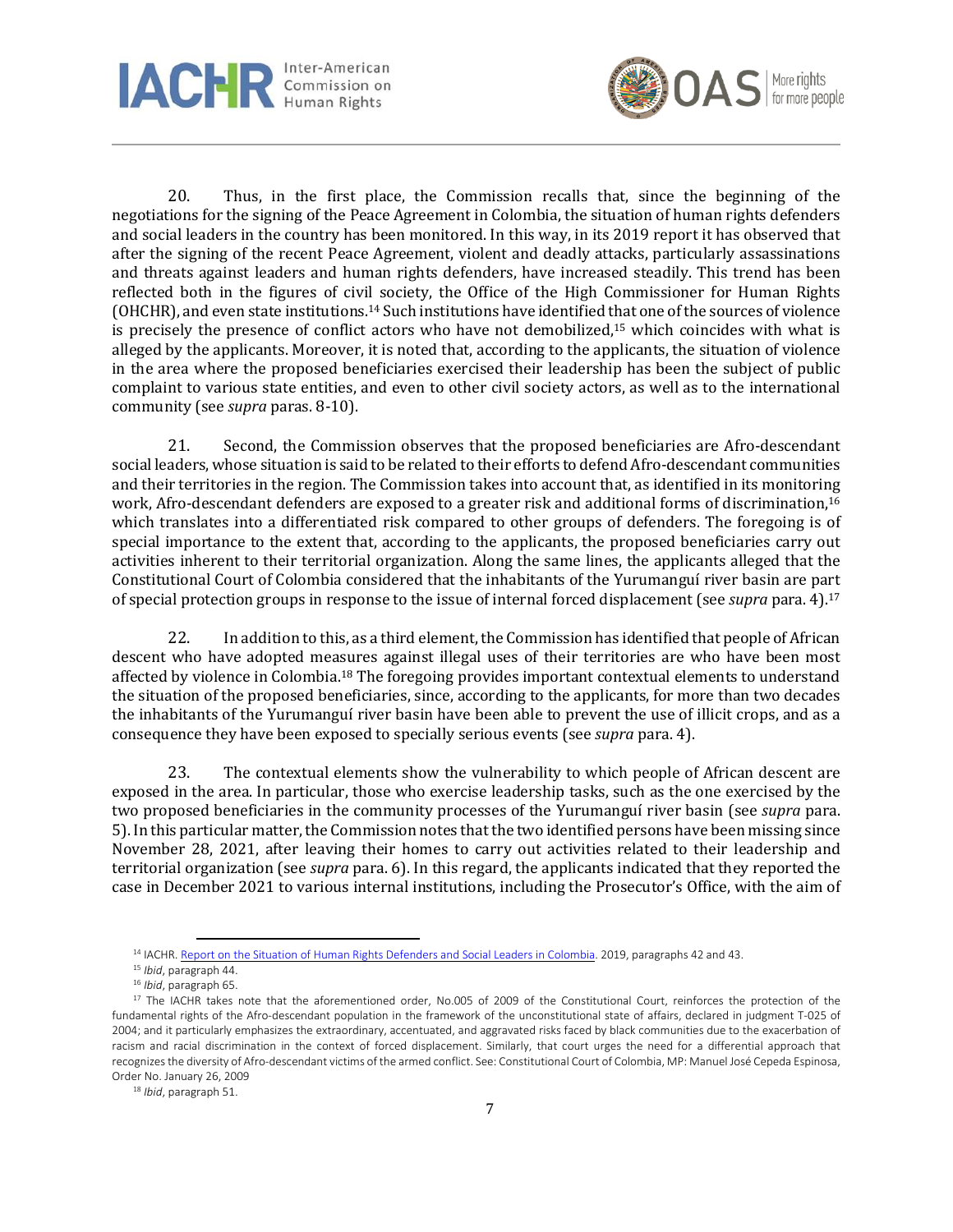



20. Thus, in the first place, the Commission recalls that, since the beginning of the negotiations for the signing of the Peace Agreement in Colombia, the situation of human rights defenders and social leaders in the country has been monitored. In this way, in its 2019 report it has observed that after the signing of the recent Peace Agreement, violent and deadly attacks, particularly assassinations and threats against leaders and human rights defenders, have increased steadily. This trend has been reflected both in the figures of civil society, the Office of the High Commissioner for Human Rights (OHCHR), and even state institutions.<sup>14</sup> Such institutions have identified that one of the sources of violence is precisely the presence of conflict actors who have not demobilized, <sup>15</sup> which coincides with what is alleged by the applicants. Moreover, it is noted that, according to the applicants, the situation of violence in the area where the proposed beneficiaries exercised their leadership has been the subject of public complaint to various state entities, and even to other civil society actors, as well as to the international community (see *supra* paras. 8-10).

21. Second, the Commission observes that the proposed beneficiaries are Afro-descendant social leaders, whose situation is said to be related to their efforts to defend Afro-descendant communities and their territories in the region. The Commission takes into account that, as identified in its monitoring work, Afro-descendant defenders are exposed to a greater risk and additional forms of discrimination, 16 which translates into a differentiated risk compared to other groups of defenders. The foregoing is of special importance to the extent that, according to the applicants, the proposed beneficiaries carry out activities inherent to their territorial organization. Along the same lines, the applicants alleged that the Constitutional Court of Colombia considered that the inhabitants of the Yurumanguí river basin are part of special protection groups in response to the issue of internal forced displacement (see *supra* para. 4).<sup>17</sup>

22. In addition to this, as a third element, the Commission has identified that people of African descent who have adopted measures against illegal uses of their territories are who have been most affected by violence in Colombia.<sup>18</sup> The foregoing provides important contextual elements to understand the situation of the proposed beneficiaries, since, according to the applicants, for more than two decades the inhabitants of the Yurumanguí river basin have been able to prevent the use of illicit crops, and as a consequence they have been exposed to specially serious events (see *supra* para. 4).

23. The contextual elements show the vulnerability to which people of African descent are exposed in the area. In particular, those who exercise leadership tasks, such as the one exercised by the two proposed beneficiaries in the community processes of the Yurumanguí river basin (see *supra* para. 5). In this particular matter, the Commission notes that the two identified persons have been missing since November 28, 2021, after leaving their homes to carry out activities related to their leadership and territorial organization (see *supra* para. 6). In this regard, the applicants indicated that they reported the case in December 2021 to various internal institutions, including the Prosecutor's Office, with the aim of

<sup>&</sup>lt;sup>14</sup> IACHR. Report on the Situation of Human Rights [Defenders](https://www.oas.org/es/cidh/informes/pdfs/DefensoresColombia.pdf) and Social Leaders in Colombia. 2019, paragraphs 42 and 43.

<sup>15</sup> *Ibid*, paragraph 44.

<sup>16</sup> *Ibid*, paragraph 65.

<sup>&</sup>lt;sup>17</sup> The IACHR takes note that the aforementioned order, No.005 of 2009 of the Constitutional Court, reinforces the protection of the fundamental rights of the Afro-descendant population in the framework of the unconstitutional state of affairs, declared in judgment T-025 of 2004; and it particularly emphasizes the extraordinary, accentuated, and aggravated risks faced by black communities due to the exacerbation of racism and racial discrimination in the context of forced displacement. Similarly, that court urges the need for a differential approach that recognizesthe diversity of Afro-descendant victims of the armed conflict. See: Constitutional Court of Colombia, MP: Manuel José Cepeda Espinosa, Order No. January 26, 2009

<sup>18</sup> *Ibid*, paragraph 51.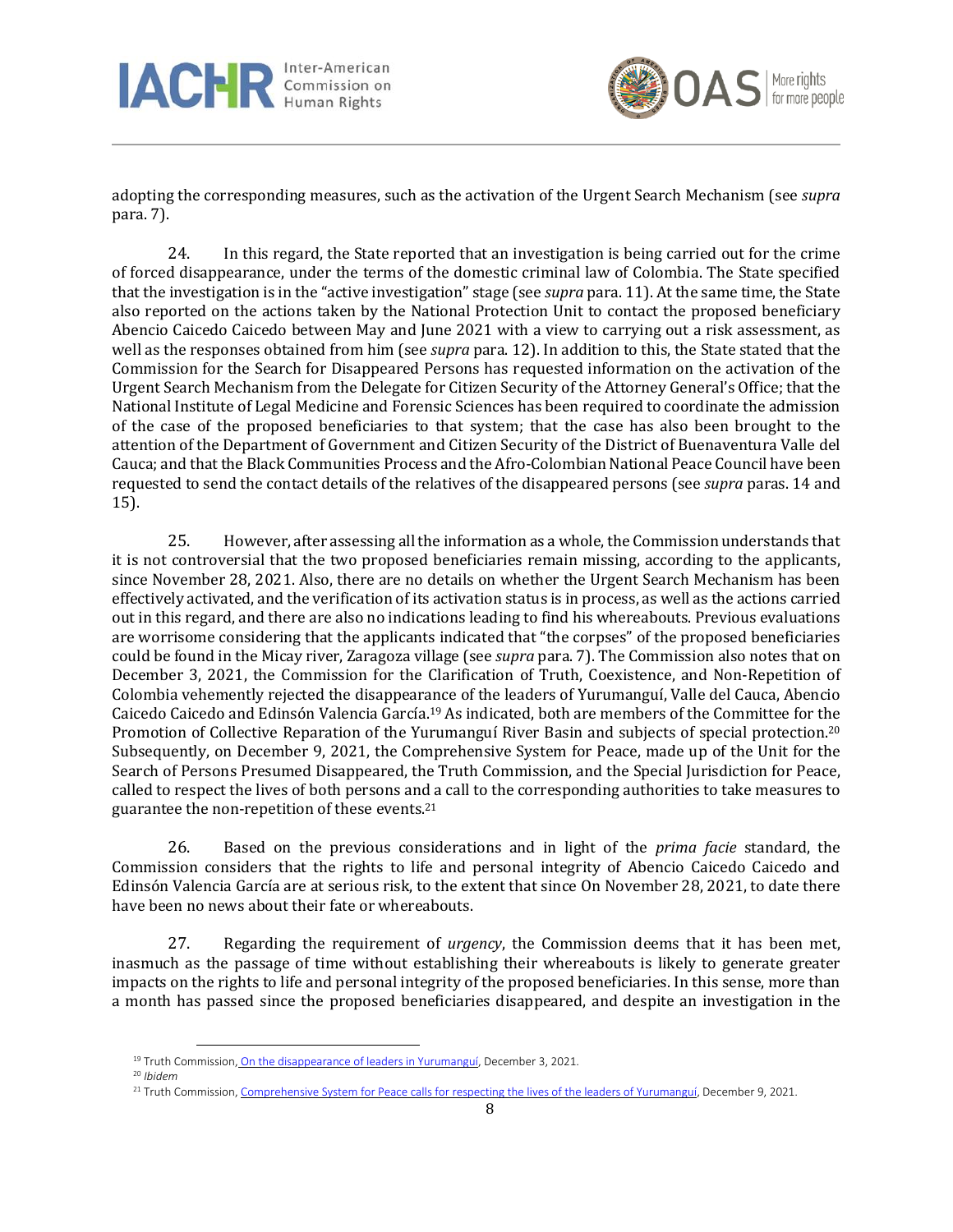



adopting the corresponding measures, such as the activation of the Urgent Search Mechanism (see *supra* para. 7).

24. In this regard, the State reported that an investigation is being carried out for the crime of forced disappearance, under the terms of the domestic criminal law of Colombia. The State specified that the investigation is in the "active investigation" stage (see *supra* para. 11). At the same time, the State also reported on the actions taken by the National Protection Unit to contact the proposed beneficiary Abencio Caicedo Caicedo between May and June 2021 with a view to carrying out a risk assessment, as well as the responses obtained from him (see *supra* para. 12). In addition to this, the State stated that the Commission for the Search for Disappeared Persons has requested information on the activation of the Urgent Search Mechanism from the Delegate for Citizen Security of the Attorney General's Office; that the National Institute of Legal Medicine and Forensic Sciences has been required to coordinate the admission of the case of the proposed beneficiaries to that system; that the case has also been brought to the attention of the Department of Government and Citizen Security of the District of Buenaventura Valle del Cauca; and that the Black Communities Process and the Afro-Colombian National Peace Council have been requested to send the contact details of the relatives of the disappeared persons (see *supra* paras. 14 and 15).

25. However, after assessing all the information as a whole, the Commission understands that it is not controversial that the two proposed beneficiaries remain missing, according to the applicants, since November 28, 2021. Also, there are no details on whether the Urgent Search Mechanism has been effectively activated, and the verification of its activation status is in process, as well as the actions carried out in this regard, and there are also no indications leading to find his whereabouts. Previous evaluations are worrisome considering that the applicants indicated that "the corpses" of the proposed beneficiaries could be found in the Micay river, Zaragoza village (see *supra* para. 7). The Commission also notes that on December 3, 2021, the Commission for the Clarification of Truth, Coexistence, and Non-Repetition of Colombia vehemently rejected the disappearance of the leaders of Yurumanguí, Valle del Cauca, Abencio Caicedo Caicedo and Edinsón Valencia García.<sup>19</sup> As indicated, both are members of the Committee for the Promotion of Collective Reparation of the Yurumanguí River Basin and subjects of special protection.<sup>20</sup> Subsequently, on December 9, 2021, the Comprehensive System for Peace, made up of the Unit for the Search of Persons Presumed Disappeared, the Truth Commission, and the Special Jurisdiction for Peace, called to respect the lives of both persons and a call to the corresponding authorities to take measures to guarantee the non-repetition of these events.<sup>21</sup>

26. Based on the previous considerations and in light of the *prima facie* standard, the Commission considers that the rights to life and personal integrity of Abencio Caicedo Caicedo and Edinsón Valencia García are at serious risk, to the extent that since On November 28, 2021, to date there have been no news about their fate or whereabouts.

27. Regarding the requirement of *urgency*, the Commission deems that it has been met, inasmuch as the passage of time without establishing their whereabouts is likely to generate greater impacts on the rights to life and personal integrity of the proposed beneficiaries. In this sense, more than a month has passed since the proposed beneficiaries disappeared, and despite an investigation in the

<sup>&</sup>lt;sup>19</sup> Truth Commission, On the [disappearance](https://comisiondelaverdad.co/actualidad/comunicados-y-declaraciones/sobre-la-desaparicion-de-lideres-en-yurumangui) of leaders in Yurumanguí, December 3, 2021.

<sup>20</sup> *Ibidem*

<sup>21</sup> Truth Commission, [Comprehensive](https://comisiondelaverdad.co/actualidad/comunicados-y-declaraciones/sistema-integral-para-la-paz-hace-un-llamado-para-respetar-la-vida-de-los-lideres-de-yurumangui) System for Peace calls for respecting the lives of the leaders of Yurumanguí, December 9, 2021.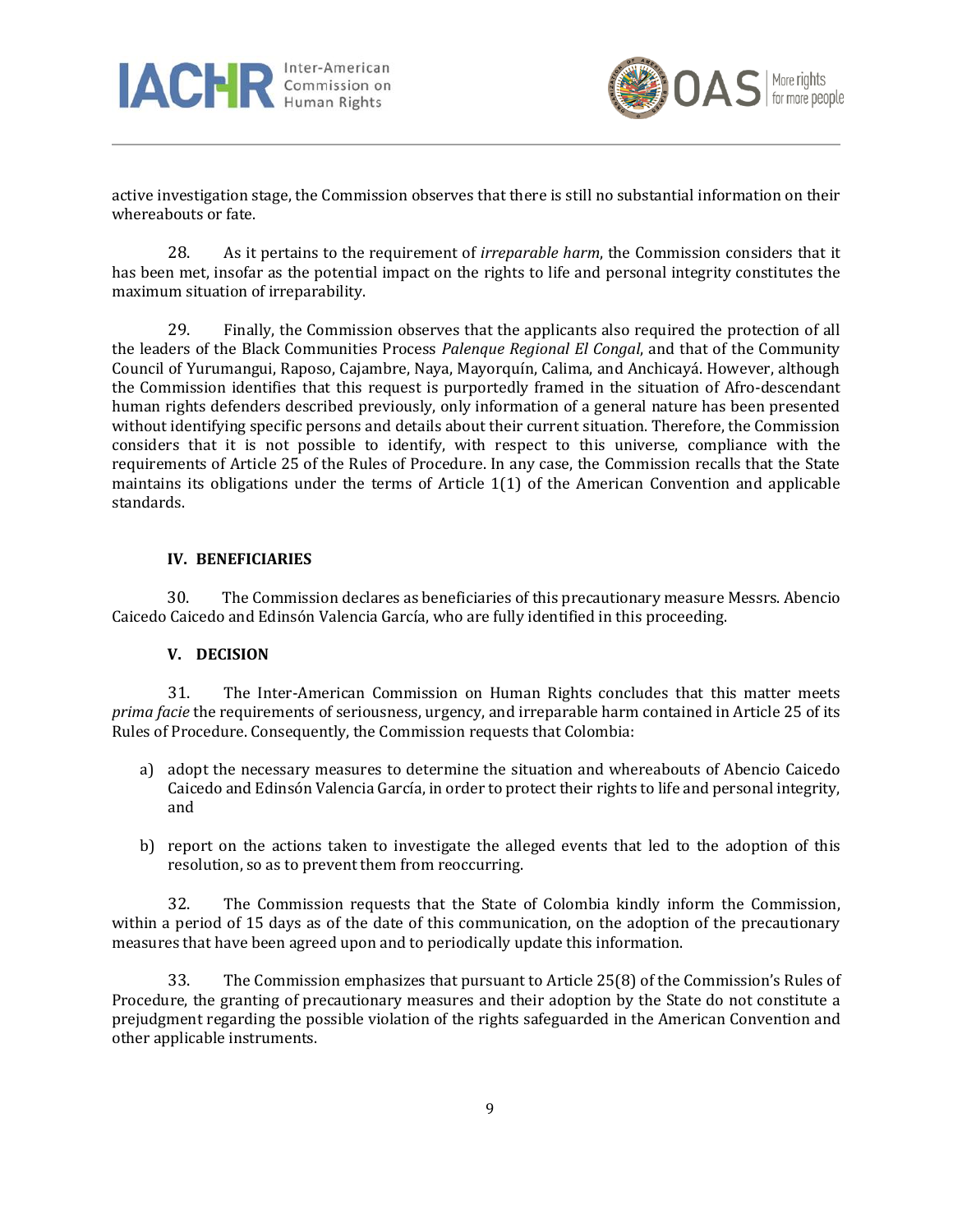



active investigation stage, the Commission observes that there is still no substantial information on their whereabouts or fate.

28. As it pertains to the requirement of *irreparable harm*, the Commission considers that it has been met, insofar as the potential impact on the rights to life and personal integrity constitutes the maximum situation of irreparability.

29. Finally, the Commission observes that the applicants also required the protection of all the leaders of the Black Communities Process *Palenque Regional El Congal*, and that of the Community Council of Yurumangui, Raposo, Cajambre, Naya, Mayorquín, Calima, and Anchicayá. However, although the Commission identifies that this request is purportedly framed in the situation of Afro-descendant human rights defenders described previously, only information of a general nature has been presented without identifying specific persons and details about their current situation. Therefore, the Commission considers that it is not possible to identify, with respect to this universe, compliance with the requirements of Article 25 of the Rules of Procedure. In any case, the Commission recalls that the State maintains its obligations under the terms of Article 1(1) of the American Convention and applicable standards.

### **IV. BENEFICIARIES**

30. The Commission declares as beneficiaries of this precautionary measure Messrs. Abencio Caicedo Caicedo and Edinsón Valencia García, who are fully identified in this proceeding.

### **V. DECISION**

31. The Inter-American Commission on Human Rights concludes that this matter meets *prima facie* the requirements of seriousness, urgency, and irreparable harm contained in Article 25 of its Rules of Procedure. Consequently, the Commission requests that Colombia:

- a) adopt the necessary measures to determine the situation and whereabouts of Abencio Caicedo Caicedo and Edinsón Valencia García, in order to protect their rights to life and personal integrity, and
- b) report on the actions taken to investigate the alleged events that led to the adoption of this resolution, so as to prevent them from reoccurring.

32. The Commission requests that the State of Colombia kindly inform the Commission, within a period of 15 days as of the date of this communication, on the adoption of the precautionary measures that have been agreed upon and to periodically update this information.

33. The Commission emphasizes that pursuant to Article 25(8) of the Commission's Rules of Procedure, the granting of precautionary measures and their adoption by the State do not constitute a prejudgment regarding the possible violation of the rights safeguarded in the American Convention and other applicable instruments.